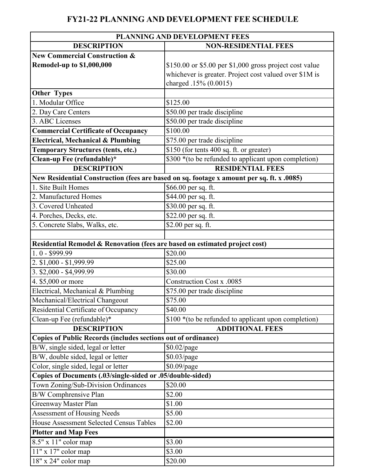## **FY21-22 PLANNING AND DEVELOPMENT FEE SCHEDULE**

| PLANNING AND DEVELOPMENT FEES                                               |                                                                                           |
|-----------------------------------------------------------------------------|-------------------------------------------------------------------------------------------|
| <b>DESCRIPTION</b>                                                          | <b>NON-RESIDENTIAL FEES</b>                                                               |
| <b>New Commercial Construction &amp;</b>                                    |                                                                                           |
| <b>Remodel-up to \$1,000,000</b>                                            | $$150.00$ or \$5.00 per \$1,000 gross project cost value                                  |
|                                                                             | whichever is greater. Project cost valued over \$1M is                                    |
|                                                                             | charged .15% (0.0015)                                                                     |
| <b>Other Types</b>                                                          |                                                                                           |
| 1. Modular Office                                                           | \$125.00                                                                                  |
| 2. Day Care Centers                                                         | \$50.00 per trade discipline                                                              |
| 3. ABC Licenses                                                             | \$50.00 per trade discipline                                                              |
| <b>Commercial Certificate of Occupancy</b>                                  | \$100.00                                                                                  |
| Electrical, Mechanical & Plumbing                                           | \$75.00 per trade discipline                                                              |
| <b>Temporary Structures (tents, etc.)</b>                                   | \$150 (for tents 400 sq. ft. or greater)                                                  |
| Clean-up Fee (refundable)*                                                  | \$300 *(to be refunded to applicant upon completion)                                      |
| <b>DESCRIPTION</b>                                                          | <b>RESIDENTIAL FEES</b>                                                                   |
|                                                                             | New Residential Construction (fees are based on sq. footage x amount per sq. ft. x .0085) |
| 1. Site Built Homes                                                         | \$66.00 per sq. ft.                                                                       |
| 2. Manufactured Homes                                                       | \$44.00 per sq. ft.                                                                       |
| 3. Covered Unheated                                                         | \$30.00 per sq. ft.                                                                       |
| 4. Porches, Decks, etc.                                                     | \$22.00 per sq. ft.                                                                       |
| 5. Concrete Slabs, Walks, etc.                                              | \$2.00 per sq. ft.                                                                        |
|                                                                             |                                                                                           |
| Residential Remodel & Renovation (fees are based on estimated project cost) |                                                                                           |
| $1.0 - $999.99$                                                             | \$20.00                                                                                   |
| 2. \$1,000 - \$1,999.99                                                     | \$25.00                                                                                   |
| $3.$ \$2,000 - \$4,999.99                                                   | \$30.00                                                                                   |
| 4. \$5,000 or more                                                          | Construction Cost x .0085                                                                 |
| Electrical, Mechanical & Plumbing                                           | \$75.00 per trade discipline                                                              |
| Mechanical/Electrical Changeout                                             | \$75.00                                                                                   |
| Residential Certificate of Occupancy                                        | \$40.00                                                                                   |
| Clean-up Fee (refundable)*                                                  | \$100 *(to be refunded to applicant upon completion)                                      |
| <b>DESCRIPTION</b>                                                          | <b>ADDITIONAL FEES</b>                                                                    |
| Copies of Public Records (includes sections out of ordinance)               |                                                                                           |
| B/W, single sided, legal or letter                                          | $$0.02$ /page                                                                             |
| B/W, double sided, legal or letter                                          | \$0.03/page                                                                               |
| Color, single sided, legal or letter                                        | \$0.09/page                                                                               |
| Copies of Documents (.03/single-sided or .05/double-sided)                  |                                                                                           |
| Town Zoning/Sub-Division Ordinances                                         | \$20.00                                                                                   |
| B/W Comphrensive Plan                                                       | \$2.00                                                                                    |
| Greenway Master Plan                                                        | \$1.00                                                                                    |
| Assessment of Housing Needs                                                 | \$5.00                                                                                    |
| House Assessment Selected Census Tables                                     | \$2.00                                                                                    |
| <b>Plotter and Map Fees</b>                                                 |                                                                                           |
| $8.5"$ x 11" color map                                                      | \$3.00                                                                                    |
| 11" x 17" color map                                                         | \$3.00                                                                                    |
| 18" x 24" color map                                                         | \$20.00                                                                                   |